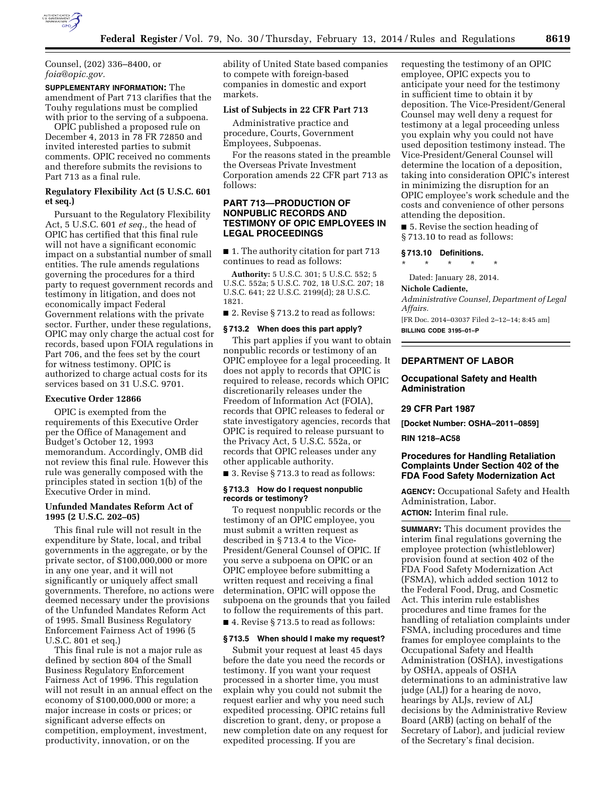

Counsel, (202) 336–8400, or *[foia@opic.gov.](mailto:foia@opic.gov)* 

**SUPPLEMENTARY INFORMATION:** The amendment of Part 713 clarifies that the Touhy regulations must be complied with prior to the serving of a subpoena.

OPIC published a proposed rule on December 4, 2013 in 78 FR 72850 and invited interested parties to submit comments. OPIC received no comments and therefore submits the revisions to Part 713 as a final rule.

## **Regulatory Flexibility Act (5 U.S.C. 601 et seq.)**

Pursuant to the Regulatory Flexibility Act, 5 U.S.C. 601 *et seq.,* the head of OPIC has certified that this final rule will not have a significant economic impact on a substantial number of small entities. The rule amends regulations governing the procedures for a third party to request government records and testimony in litigation, and does not economically impact Federal Government relations with the private sector. Further, under these regulations, OPIC may only charge the actual cost for records, based upon FOIA regulations in Part 706, and the fees set by the court for witness testimony. OPIC is authorized to charge actual costs for its services based on 31 U.S.C. 9701.

## **Executive Order 12866**

OPIC is exempted from the requirements of this Executive Order per the Office of Management and Budget's October 12, 1993 memorandum. Accordingly, OMB did not review this final rule. However this rule was generally composed with the principles stated in section 1(b) of the Executive Order in mind.

### **Unfunded Mandates Reform Act of 1995 (2 U.S.C. 202–05)**

This final rule will not result in the expenditure by State, local, and tribal governments in the aggregate, or by the private sector, of \$100,000,000 or more in any one year, and it will not significantly or uniquely affect small governments. Therefore, no actions were deemed necessary under the provisions of the Unfunded Mandates Reform Act of 1995. Small Business Regulatory Enforcement Fairness Act of 1996 (5 U.S.C. 801 et seq.)

This final rule is not a major rule as defined by section 804 of the Small Business Regulatory Enforcement Fairness Act of 1996. This regulation will not result in an annual effect on the economy of \$100,000,000 or more; a major increase in costs or prices; or significant adverse effects on competition, employment, investment, productivity, innovation, or on the

ability of United State based companies to compete with foreign-based companies in domestic and export markets.

## **List of Subjects in 22 CFR Part 713**

Administrative practice and procedure, Courts, Government Employees, Subpoenas.

For the reasons stated in the preamble the Overseas Private Investment Corporation amends 22 CFR part 713 as follows:

# **PART 713—PRODUCTION OF NONPUBLIC RECORDS AND TESTIMONY OF OPIC EMPLOYEES IN LEGAL PROCEEDINGS**

■ 1. The authority citation for part 713 continues to read as follows:

**Authority:** 5 U.S.C. 301; 5 U.S.C. 552; 5 U.S.C. 552a; 5 U.S.C. 702, 18 U.S.C. 207; 18 U.S.C. 641; 22 U.S.C. 2199(d); 28 U.S.C. 1821.

■ 2. Revise § 713.2 to read as follows:

#### **§ 713.2 When does this part apply?**

This part applies if you want to obtain nonpublic records or testimony of an OPIC employee for a legal proceeding. It does not apply to records that OPIC is required to release, records which OPIC discretionarily releases under the Freedom of Information Act (FOIA), records that OPIC releases to federal or state investigatory agencies, records that OPIC is required to release pursuant to the Privacy Act, 5 U.S.C. 552a, or records that OPIC releases under any other applicable authority.

■ 3. Revise § 713.3 to read as follows:

### **§ 713.3 How do I request nonpublic records or testimony?**

To request nonpublic records or the testimony of an OPIC employee, you must submit a written request as described in § 713.4 to the Vice-President/General Counsel of OPIC. If you serve a subpoena on OPIC or an OPIC employee before submitting a written request and receiving a final determination, OPIC will oppose the subpoena on the grounds that you failed to follow the requirements of this part.

■ 4. Revise § 713.5 to read as follows:

#### **§ 713.5 When should I make my request?**

Submit your request at least 45 days before the date you need the records or testimony. If you want your request processed in a shorter time, you must explain why you could not submit the request earlier and why you need such expedited processing. OPIC retains full discretion to grant, deny, or propose a new completion date on any request for expedited processing. If you are

requesting the testimony of an OPIC employee, OPIC expects you to anticipate your need for the testimony in sufficient time to obtain it by deposition. The Vice-President/General Counsel may well deny a request for testimony at a legal proceeding unless you explain why you could not have used deposition testimony instead. The Vice-President/General Counsel will determine the location of a deposition, taking into consideration OPIC's interest in minimizing the disruption for an OPIC employee's work schedule and the costs and convenience of other persons attending the deposition.

■ 5. Revise the section heading of § 713.10 to read as follows:

### **§ 713.10 Definitions.**

\* \* \* \* \*

Dated: January 28, 2014.

### **Nichole Cadiente,**

*Administrative Counsel, Department of Legal Affairs.* 

[FR Doc. 2014–03037 Filed 2–12–14; 8:45 am] **BILLING CODE 3195–01–P** 

### **DEPARTMENT OF LABOR**

### **Occupational Safety and Health Administration**

## **29 CFR Part 1987**

**[Docket Number: OSHA–2011–0859]** 

## **RIN 1218–AC58**

## **Procedures for Handling Retaliation Complaints Under Section 402 of the FDA Food Safety Modernization Act**

**AGENCY:** Occupational Safety and Health Administration, Labor. **ACTION:** Interim final rule.

**SUMMARY:** This document provides the interim final regulations governing the employee protection (whistleblower) provision found at section 402 of the FDA Food Safety Modernization Act (FSMA), which added section 1012 to the Federal Food, Drug, and Cosmetic Act. This interim rule establishes procedures and time frames for the handling of retaliation complaints under FSMA, including procedures and time frames for employee complaints to the Occupational Safety and Health Administration (OSHA), investigations by OSHA, appeals of OSHA determinations to an administrative law judge (ALJ) for a hearing de novo, hearings by ALJs, review of ALJ decisions by the Administrative Review Board (ARB) (acting on behalf of the Secretary of Labor), and judicial review of the Secretary's final decision.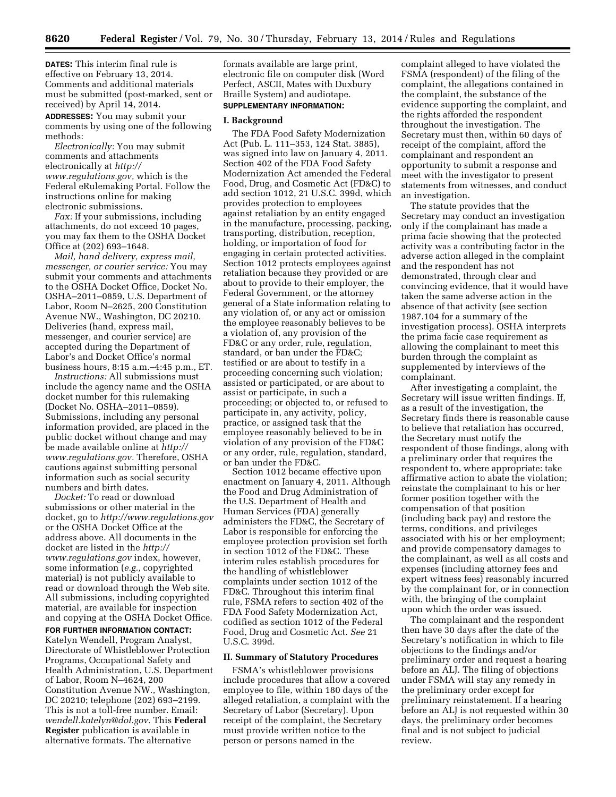**DATES:** This interim final rule is effective on February 13, 2014. Comments and additional materials must be submitted (post-marked, sent or received) by April 14, 2014.

**ADDRESSES:** You may submit your comments by using one of the following methods:

*Electronically:* You may submit comments and attachments electronically at *[http://](http://www.regulations.gov) [www.regulations.gov,](http://www.regulations.gov)* which is the Federal eRulemaking Portal. Follow the instructions online for making electronic submissions.

*Fax:* If your submissions, including attachments, do not exceed 10 pages, you may fax them to the OSHA Docket Office at (202) 693–1648.

*Mail, hand delivery, express mail, messenger, or courier service:* You may submit your comments and attachments to the OSHA Docket Office, Docket No. OSHA–2011–0859, U.S. Department of Labor, Room N–2625, 200 Constitution Avenue NW., Washington, DC 20210. Deliveries (hand, express mail, messenger, and courier service) are accepted during the Department of Labor's and Docket Office's normal business hours, 8:15 a.m.–4:45 p.m., ET.

*Instructions:* All submissions must include the agency name and the OSHA docket number for this rulemaking (Docket No. OSHA–2011–0859). Submissions, including any personal information provided, are placed in the public docket without change and may be made available online at *[http://](http://www.regulations.gov) [www.regulations.gov.](http://www.regulations.gov)* Therefore, OSHA cautions against submitting personal information such as social security numbers and birth dates.

*Docket:* To read or download submissions or other material in the docket, go to *<http://www.regulations.gov>*  or the OSHA Docket Office at the address above. All documents in the docket are listed in the *[http://](http://www.regulations.gov) [www.regulations.gov](http://www.regulations.gov)* index, however, some information (*e.g.,* copyrighted material) is not publicly available to read or download through the Web site. All submissions, including copyrighted material, are available for inspection and copying at the OSHA Docket Office.

**FOR FURTHER INFORMATION CONTACT:** 

Katelyn Wendell, Program Analyst, Directorate of Whistleblower Protection Programs, Occupational Safety and Health Administration, U.S. Department of Labor, Room N–4624, 200 Constitution Avenue NW., Washington, DC 20210; telephone (202) 693–2199. This is not a toll-free number. Email: *[wendell.katelyn@dol.gov.](mailto:wendell.katelyn@dol.gov)* This **Federal Register** publication is available in alternative formats. The alternative

formats available are large print, electronic file on computer disk (Word Perfect, ASCII, Mates with Duxbury Braille System) and audiotape.

# **SUPPLEMENTARY INFORMATION:**

### **I. Background**

The FDA Food Safety Modernization Act (Pub. L. 111–353, 124 Stat. 3885), was signed into law on January 4, 2011. Section 402 of the FDA Food Safety Modernization Act amended the Federal Food, Drug, and Cosmetic Act (FD&C) to add section 1012, 21 U.S.C. 399d, which provides protection to employees against retaliation by an entity engaged in the manufacture, processing, packing, transporting, distribution, reception, holding, or importation of food for engaging in certain protected activities. Section 1012 protects employees against retaliation because they provided or are about to provide to their employer, the Federal Government, or the attorney general of a State information relating to any violation of, or any act or omission the employee reasonably believes to be a violation of, any provision of the FD&C or any order, rule, regulation, standard, or ban under the FD&C; testified or are about to testify in a proceeding concerning such violation; assisted or participated, or are about to assist or participate, in such a proceeding; or objected to, or refused to participate in, any activity, policy, practice, or assigned task that the employee reasonably believed to be in violation of any provision of the FD&C or any order, rule, regulation, standard, or ban under the FD&C.

Section 1012 became effective upon enactment on January 4, 2011. Although the Food and Drug Administration of the U.S. Department of Health and Human Services (FDA) generally administers the FD&C, the Secretary of Labor is responsible for enforcing the employee protection provision set forth in section 1012 of the FD&C. These interim rules establish procedures for the handling of whistleblower complaints under section 1012 of the FD&C. Throughout this interim final rule, FSMA refers to section 402 of the FDA Food Safety Modernization Act, codified as section 1012 of the Federal Food, Drug and Cosmetic Act. *See* 21 U.S.C. 399d.

### **II. Summary of Statutory Procedures**

FSMA's whistleblower provisions include procedures that allow a covered employee to file, within 180 days of the alleged retaliation, a complaint with the Secretary of Labor (Secretary). Upon receipt of the complaint, the Secretary must provide written notice to the person or persons named in the

complaint alleged to have violated the FSMA (respondent) of the filing of the complaint, the allegations contained in the complaint, the substance of the evidence supporting the complaint, and the rights afforded the respondent throughout the investigation. The Secretary must then, within 60 days of receipt of the complaint, afford the complainant and respondent an opportunity to submit a response and meet with the investigator to present statements from witnesses, and conduct an investigation.

The statute provides that the Secretary may conduct an investigation only if the complainant has made a prima facie showing that the protected activity was a contributing factor in the adverse action alleged in the complaint and the respondent has not demonstrated, through clear and convincing evidence, that it would have taken the same adverse action in the absence of that activity (see section 1987.104 for a summary of the investigation process). OSHA interprets the prima facie case requirement as allowing the complainant to meet this burden through the complaint as supplemented by interviews of the complainant.

After investigating a complaint, the Secretary will issue written findings. If, as a result of the investigation, the Secretary finds there is reasonable cause to believe that retaliation has occurred, the Secretary must notify the respondent of those findings, along with a preliminary order that requires the respondent to, where appropriate: take affirmative action to abate the violation; reinstate the complainant to his or her former position together with the compensation of that position (including back pay) and restore the terms, conditions, and privileges associated with his or her employment; and provide compensatory damages to the complainant, as well as all costs and expenses (including attorney fees and expert witness fees) reasonably incurred by the complainant for, or in connection with, the bringing of the complaint upon which the order was issued.

The complainant and the respondent then have 30 days after the date of the Secretary's notification in which to file objections to the findings and/or preliminary order and request a hearing before an ALJ. The filing of objections under FSMA will stay any remedy in the preliminary order except for preliminary reinstatement. If a hearing before an ALJ is not requested within 30 days, the preliminary order becomes final and is not subject to judicial review.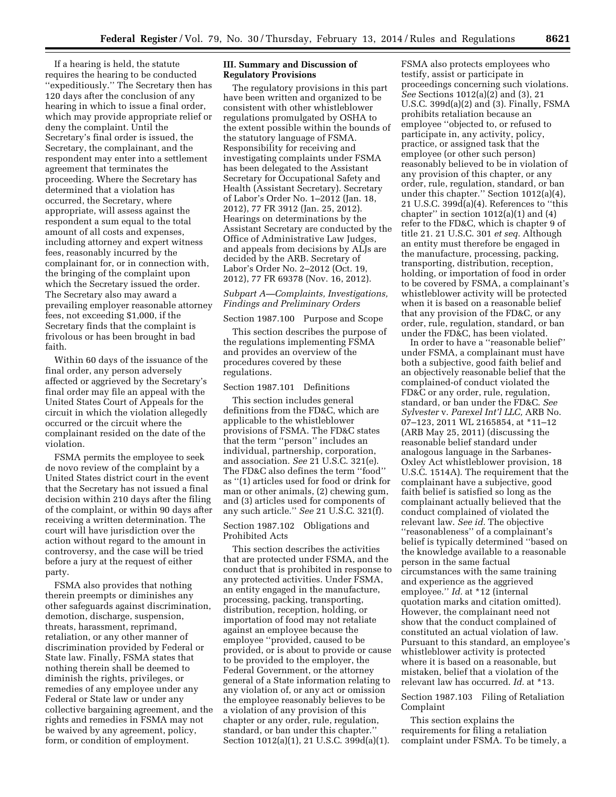If a hearing is held, the statute requires the hearing to be conducted ''expeditiously.'' The Secretary then has 120 days after the conclusion of any hearing in which to issue a final order, which may provide appropriate relief or deny the complaint. Until the Secretary's final order is issued, the Secretary, the complainant, and the respondent may enter into a settlement agreement that terminates the proceeding. Where the Secretary has determined that a violation has occurred, the Secretary, where appropriate, will assess against the respondent a sum equal to the total amount of all costs and expenses, including attorney and expert witness fees, reasonably incurred by the complainant for, or in connection with, the bringing of the complaint upon which the Secretary issued the order. The Secretary also may award a prevailing employer reasonable attorney fees, not exceeding \$1,000, if the Secretary finds that the complaint is frivolous or has been brought in bad faith.

Within 60 days of the issuance of the final order, any person adversely affected or aggrieved by the Secretary's final order may file an appeal with the United States Court of Appeals for the circuit in which the violation allegedly occurred or the circuit where the complainant resided on the date of the violation.

FSMA permits the employee to seek de novo review of the complaint by a United States district court in the event that the Secretary has not issued a final decision within 210 days after the filing of the complaint, or within 90 days after receiving a written determination. The court will have jurisdiction over the action without regard to the amount in controversy, and the case will be tried before a jury at the request of either party.

FSMA also provides that nothing therein preempts or diminishes any other safeguards against discrimination, demotion, discharge, suspension, threats, harassment, reprimand, retaliation, or any other manner of discrimination provided by Federal or State law. Finally, FSMA states that nothing therein shall be deemed to diminish the rights, privileges, or remedies of any employee under any Federal or State law or under any collective bargaining agreement, and the rights and remedies in FSMA may not be waived by any agreement, policy, form, or condition of employment.

## **III. Summary and Discussion of Regulatory Provisions**

The regulatory provisions in this part have been written and organized to be consistent with other whistleblower regulations promulgated by OSHA to the extent possible within the bounds of the statutory language of FSMA. Responsibility for receiving and investigating complaints under FSMA has been delegated to the Assistant Secretary for Occupational Safety and Health (Assistant Secretary). Secretary of Labor's Order No. 1–2012 (Jan. 18, 2012), 77 FR 3912 (Jan. 25, 2012). Hearings on determinations by the Assistant Secretary are conducted by the Office of Administrative Law Judges, and appeals from decisions by ALJs are decided by the ARB. Secretary of Labor's Order No. 2–2012 (Oct. 19, 2012), 77 FR 69378 (Nov. 16, 2012).

# *Subpart A—Complaints, Investigations, Findings and Preliminary Orders*

Section 1987.100 Purpose and Scope

This section describes the purpose of the regulations implementing FSMA and provides an overview of the procedures covered by these regulations.

### Section 1987.101 Definitions

This section includes general definitions from the FD&C, which are applicable to the whistleblower provisions of FSMA. The FD&C states that the term ''person'' includes an individual, partnership, corporation, and association. *See* 21 U.S.C. 321(e). The FD&C also defines the term ''food'' as ''(1) articles used for food or drink for man or other animals, (2) chewing gum, and (3) articles used for components of any such article.'' *See* 21 U.S.C. 321(f).

## Section 1987.102 Obligations and Prohibited Acts

This section describes the activities that are protected under FSMA, and the conduct that is prohibited in response to any protected activities. Under FSMA, an entity engaged in the manufacture, processing, packing, transporting, distribution, reception, holding, or importation of food may not retaliate against an employee because the employee ''provided, caused to be provided, or is about to provide or cause to be provided to the employer, the Federal Government, or the attorney general of a State information relating to any violation of, or any act or omission the employee reasonably believes to be a violation of any provision of this chapter or any order, rule, regulation, standard, or ban under this chapter.'' Section 1012(a)(1), 21 U.S.C. 399d(a)(1).

FSMA also protects employees who testify, assist or participate in proceedings concerning such violations. *See* Sections 1012(a)(2) and (3), 21 U.S.C. 399d(a)(2) and (3). Finally, FSMA prohibits retaliation because an employee ''objected to, or refused to participate in, any activity, policy, practice, or assigned task that the employee (or other such person) reasonably believed to be in violation of any provision of this chapter, or any order, rule, regulation, standard, or ban under this chapter.'' Section 1012(a)(4), 21 U.S.C. 399d(a)(4). References to ''this chapter" in section  $1012(a)(1)$  and  $(4)$ refer to the FD&C, which is chapter 9 of title 21. 21 U.S.C. 301 *et seq.* Although an entity must therefore be engaged in the manufacture, processing, packing, transporting, distribution, reception, holding, or importation of food in order to be covered by FSMA, a complainant's whistleblower activity will be protected when it is based on a reasonable belief that any provision of the FD&C, or any order, rule, regulation, standard, or ban under the FD&C, has been violated.

In order to have a ''reasonable belief'' under FSMA, a complainant must have both a subjective, good faith belief and an objectively reasonable belief that the complained-of conduct violated the FD&C or any order, rule, regulation, standard, or ban under the FD&C. *See Sylvester* v. *Parexel Int'l LLC,* ARB No. 07–123, 2011 WL 2165854, at \*11–12 (ARB May 25, 2011) (discussing the reasonable belief standard under analogous language in the Sarbanes-Oxley Act whistleblower provision, 18 U.S.C. 1514A). The requirement that the complainant have a subjective, good faith belief is satisfied so long as the complainant actually believed that the conduct complained of violated the relevant law. *See id.* The objective ''reasonableness'' of a complainant's belief is typically determined ''based on the knowledge available to a reasonable person in the same factual circumstances with the same training and experience as the aggrieved employee.'' *Id.* at \*12 (internal quotation marks and citation omitted). However, the complainant need not show that the conduct complained of constituted an actual violation of law. Pursuant to this standard, an employee's whistleblower activity is protected where it is based on a reasonable, but mistaken, belief that a violation of the relevant law has occurred. *Id.* at \*13.

## Section 1987.103 Filing of Retaliation Complaint

This section explains the requirements for filing a retaliation complaint under FSMA. To be timely, a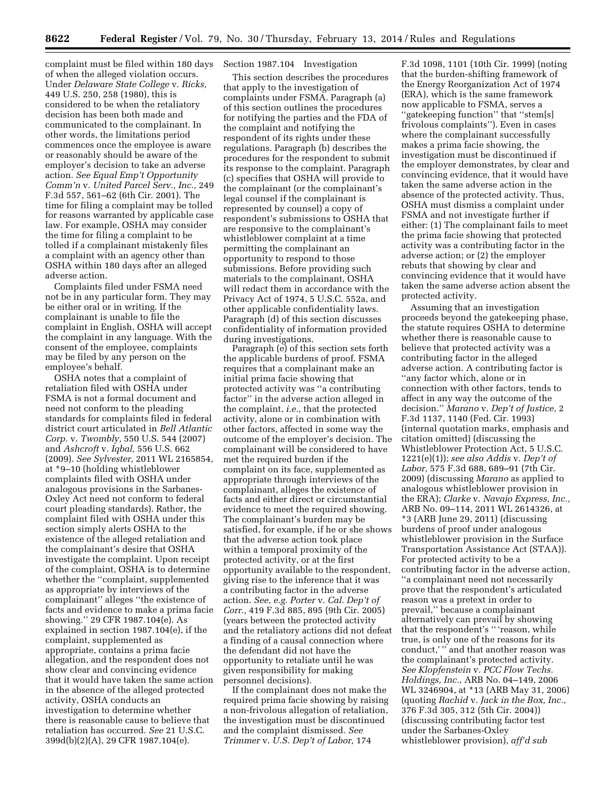complaint must be filed within 180 days of when the alleged violation occurs. Under *Delaware State College* v. *Ricks,*  449 U.S. 250, 258 (1980), this is considered to be when the retaliatory decision has been both made and communicated to the complainant. In other words, the limitations period commences once the employee is aware or reasonably should be aware of the employer's decision to take an adverse action. *See Equal Emp't Opportunity Comm'n* v. *United Parcel Serv., Inc.,* 249 F.3d 557, 561–62 (6th Cir. 2001). The time for filing a complaint may be tolled for reasons warranted by applicable case law. For example, OSHA may consider the time for filing a complaint to be tolled if a complainant mistakenly files a complaint with an agency other than OSHA within 180 days after an alleged adverse action.

Complaints filed under FSMA need not be in any particular form. They may be either oral or in writing. If the complainant is unable to file the complaint in English, OSHA will accept the complaint in any language. With the consent of the employee, complaints may be filed by any person on the employee's behalf.

OSHA notes that a complaint of retaliation filed with OSHA under FSMA is not a formal document and need not conform to the pleading standards for complaints filed in federal district court articulated in *Bell Atlantic Corp.* v. *Twombly,* 550 U.S. 544 (2007) and *Ashcroft* v. *Iqbal,* 556 U.S. 662 (2009). *See Sylvester,* 2011 WL 2165854, at \*9–10 (holding whistleblower complaints filed with OSHA under analogous provisions in the Sarbanes-Oxley Act need not conform to federal court pleading standards). Rather, the complaint filed with OSHA under this section simply alerts OSHA to the existence of the alleged retaliation and the complainant's desire that OSHA investigate the complaint. Upon receipt of the complaint, OSHA is to determine whether the ''complaint, supplemented as appropriate by interviews of the complainant'' alleges ''the existence of facts and evidence to make a prima facie showing.'' 29 CFR 1987.104(e). As explained in section 1987.104(e), if the complaint, supplemented as appropriate, contains a prima facie allegation, and the respondent does not show clear and convincing evidence that it would have taken the same action in the absence of the alleged protected activity, OSHA conducts an investigation to determine whether there is reasonable cause to believe that retaliation has occurred. *See* 21 U.S.C. 399d(b)(2)(A), 29 CFR 1987.104(e).

## Section 1987.104 Investigation

This section describes the procedures that apply to the investigation of complaints under FSMA. Paragraph (a) of this section outlines the procedures for notifying the parties and the FDA of the complaint and notifying the respondent of its rights under these regulations. Paragraph (b) describes the procedures for the respondent to submit its response to the complaint. Paragraph (c) specifies that OSHA will provide to the complainant (or the complainant's legal counsel if the complainant is represented by counsel) a copy of respondent's submissions to OSHA that are responsive to the complainant's whistleblower complaint at a time permitting the complainant an opportunity to respond to those submissions. Before providing such materials to the complainant, OSHA will redact them in accordance with the Privacy Act of 1974, 5 U.S.C. 552a, and other applicable confidentiality laws. Paragraph (d) of this section discusses confidentiality of information provided during investigations.

Paragraph (e) of this section sets forth the applicable burdens of proof. FSMA requires that a complainant make an initial prima facie showing that protected activity was ''a contributing factor'' in the adverse action alleged in the complaint, *i.e.,* that the protected activity, alone or in combination with other factors, affected in some way the outcome of the employer's decision. The complainant will be considered to have met the required burden if the complaint on its face, supplemented as appropriate through interviews of the complainant, alleges the existence of facts and either direct or circumstantial evidence to meet the required showing. The complainant's burden may be satisfied, for example, if he or she shows that the adverse action took place within a temporal proximity of the protected activity, or at the first opportunity available to the respondent, giving rise to the inference that it was a contributing factor in the adverse action. *See, e.g. Porter* v. *Cal. Dep't of Corr.,* 419 F.3d 885, 895 (9th Cir. 2005) (years between the protected activity and the retaliatory actions did not defeat a finding of a causal connection where the defendant did not have the opportunity to retaliate until he was given responsibility for making personnel decisions).

If the complainant does not make the required prima facie showing by raising a non-frivolous allegation of retaliation, the investigation must be discontinued and the complaint dismissed. *See Trimmer* v. *U.S. Dep't of Labor,* 174

F.3d 1098, 1101 (10th Cir. 1999) (noting that the burden-shifting framework of the Energy Reorganization Act of 1974 (ERA), which is the same framework now applicable to FSMA, serves a ''gatekeeping function'' that ''stem[s] frivolous complaints''). Even in cases where the complainant successfully makes a prima facie showing, the investigation must be discontinued if the employer demonstrates, by clear and convincing evidence, that it would have taken the same adverse action in the absence of the protected activity. Thus, OSHA must dismiss a complaint under FSMA and not investigate further if either: (1) The complainant fails to meet the prima facie showing that protected activity was a contributing factor in the adverse action; or (2) the employer rebuts that showing by clear and convincing evidence that it would have taken the same adverse action absent the protected activity.

Assuming that an investigation proceeds beyond the gatekeeping phase, the statute requires OSHA to determine whether there is reasonable cause to believe that protected activity was a contributing factor in the alleged adverse action. A contributing factor is ''any factor which, alone or in connection with other factors, tends to affect in any way the outcome of the decision.'' *Marano* v. *Dep't of Justice,* 2 F.3d 1137, 1140 (Fed. Cir. 1993) (internal quotation marks, emphasis and citation omitted) (discussing the Whistleblower Protection Act, 5 U.S.C. 1221(e)(1)); *see also Addis* v. *Dep't of Labor,* 575 F.3d 688, 689–91 (7th Cir. 2009) (discussing *Marano* as applied to analogous whistleblower provision in the ERA); *Clarke* v. *Navajo Express, Inc.,*  ARB No. 09–114, 2011 WL 2614326, at \*3 (ARB June 29, 2011) (discussing burdens of proof under analogous whistleblower provision in the Surface Transportation Assistance Act (STAA)). For protected activity to be a contributing factor in the adverse action, ''a complainant need not necessarily prove that the respondent's articulated reason was a pretext in order to prevail,'' because a complainant alternatively can prevail by showing that the respondent's '' 'reason, while true, is only one of the reasons for its conduct,' '' and that another reason was the complainant's protected activity. *See Klopfenstein* v. *PCC Flow Techs. Holdings, Inc.,* ARB No. 04–149, 2006 WL 3246904, at \*13 (ARB May 31, 2006) (quoting *Rachid* v. *Jack in the Box, Inc.,*  376 F.3d 305, 312 (5th Cir. 2004)) (discussing contributing factor test under the Sarbanes-Oxley whistleblower provision), *aff'd sub*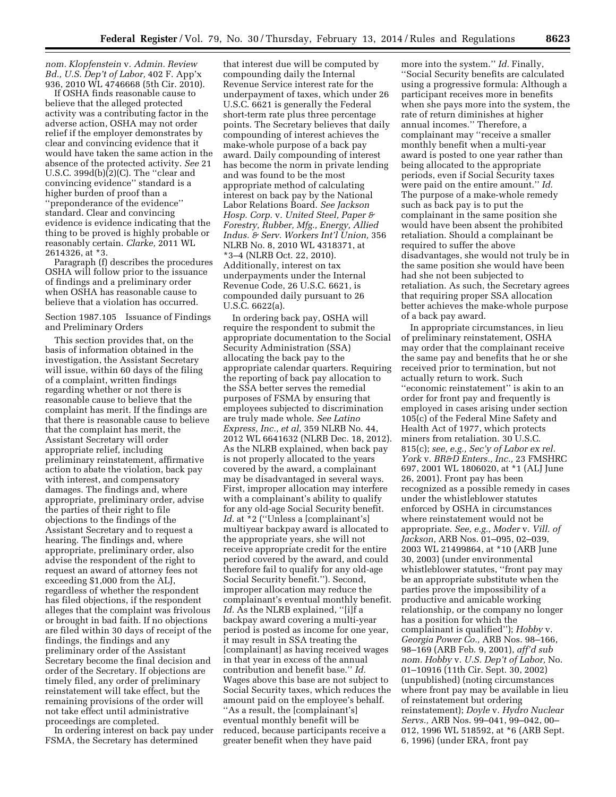*nom. Klopfenstein* v. *Admin. Review Bd., U.S. Dep't of Labor,* 402 F. App'x 936, 2010 WL 4746668 (5th Cir. 2010).

If OSHA finds reasonable cause to believe that the alleged protected activity was a contributing factor in the adverse action, OSHA may not order relief if the employer demonstrates by clear and convincing evidence that it would have taken the same action in the absence of the protected activity. *See* 21 U.S.C. 399d(b)(2)(C). The ''clear and convincing evidence'' standard is a higher burden of proof than a ''preponderance of the evidence'' standard. Clear and convincing evidence is evidence indicating that the thing to be proved is highly probable or reasonably certain. *Clarke,* 2011 WL 2614326, at \*3.

Paragraph (f) describes the procedures OSHA will follow prior to the issuance of findings and a preliminary order when OSHA has reasonable cause to believe that a violation has occurred.

## Section 1987.105 Issuance of Findings and Preliminary Orders

This section provides that, on the basis of information obtained in the investigation, the Assistant Secretary will issue, within 60 days of the filing of a complaint, written findings regarding whether or not there is reasonable cause to believe that the complaint has merit. If the findings are that there is reasonable cause to believe that the complaint has merit, the Assistant Secretary will order appropriate relief, including preliminary reinstatement, affirmative action to abate the violation, back pay with interest, and compensatory damages. The findings and, where appropriate, preliminary order, advise the parties of their right to file objections to the findings of the Assistant Secretary and to request a hearing. The findings and, where appropriate, preliminary order, also advise the respondent of the right to request an award of attorney fees not exceeding \$1,000 from the ALJ, regardless of whether the respondent has filed objections, if the respondent alleges that the complaint was frivolous or brought in bad faith. If no objections are filed within 30 days of receipt of the findings, the findings and any preliminary order of the Assistant Secretary become the final decision and order of the Secretary. If objections are timely filed, any order of preliminary reinstatement will take effect, but the remaining provisions of the order will not take effect until administrative proceedings are completed.

In ordering interest on back pay under FSMA, the Secretary has determined

that interest due will be computed by compounding daily the Internal Revenue Service interest rate for the underpayment of taxes, which under 26 U.S.C. 6621 is generally the Federal short-term rate plus three percentage points. The Secretary believes that daily compounding of interest achieves the make-whole purpose of a back pay award. Daily compounding of interest has become the norm in private lending and was found to be the most appropriate method of calculating interest on back pay by the National Labor Relations Board. *See Jackson Hosp. Corp.* v. *United Steel, Paper & Forestry, Rubber, Mfg., Energy, Allied Indus. & Serv. Workers Int'l Union,* 356 NLRB No. 8, 2010 WL 4318371, at \*3–4 (NLRB Oct. 22, 2010). Additionally, interest on tax underpayments under the Internal Revenue Code, 26 U.S.C. 6621, is compounded daily pursuant to 26 U.S.C. 6622(a).

In ordering back pay, OSHA will require the respondent to submit the appropriate documentation to the Social Security Administration (SSA) allocating the back pay to the appropriate calendar quarters. Requiring the reporting of back pay allocation to the SSA better serves the remedial purposes of FSMA by ensuring that employees subjected to discrimination are truly made whole. *See Latino Express, Inc., et al,* 359 NLRB No. 44, 2012 WL 6641632 (NLRB Dec. 18, 2012). As the NLRB explained, when back pay is not properly allocated to the years covered by the award, a complainant may be disadvantaged in several ways. First, improper allocation may interfere with a complainant's ability to qualify for any old-age Social Security benefit. *Id.* at \*2 ("Unless a [complainant's] multiyear backpay award is allocated to the appropriate years, she will not receive appropriate credit for the entire period covered by the award, and could therefore fail to qualify for any old-age Social Security benefit.''). Second, improper allocation may reduce the complainant's eventual monthly benefit. *Id.* As the NLRB explained, ''[i]f a backpay award covering a multi-year period is posted as income for one year, it may result in SSA treating the [complainant] as having received wages in that year in excess of the annual contribution and benefit base.'' *Id.*  Wages above this base are not subject to Social Security taxes, which reduces the amount paid on the employee's behalf. ''As a result, the [complainant's] eventual monthly benefit will be reduced, because participants receive a greater benefit when they have paid

more into the system." *Id.* Finally, ''Social Security benefits are calculated using a progressive formula: Although a participant receives more in benefits when she pays more into the system, the rate of return diminishes at higher annual incomes.'' Therefore, a complainant may ''receive a smaller monthly benefit when a multi-year award is posted to one year rather than being allocated to the appropriate periods, even if Social Security taxes were paid on the entire amount.'' *Id.*  The purpose of a make-whole remedy such as back pay is to put the complainant in the same position she would have been absent the prohibited retaliation. Should a complainant be required to suffer the above disadvantages, she would not truly be in the same position she would have been had she not been subjected to retaliation. As such, the Secretary agrees that requiring proper SSA allocation better achieves the make-whole purpose of a back pay award.

In appropriate circumstances, in lieu of preliminary reinstatement, OSHA may order that the complainant receive the same pay and benefits that he or she received prior to termination, but not actually return to work. Such ''economic reinstatement'' is akin to an order for front pay and frequently is employed in cases arising under section 105(c) of the Federal Mine Safety and Health Act of 1977, which protects miners from retaliation. 30 U.S.C. 815(c); *see, e.g., Sec'y of Labor ex rel. York* v. *BR&D Enters., Inc.,* 23 FMSHRC 697, 2001 WL 1806020, at \*1 (ALJ June 26, 2001). Front pay has been recognized as a possible remedy in cases under the whistleblower statutes enforced by OSHA in circumstances where reinstatement would not be appropriate. *See, e.g., Moder* v. *Vill. of Jackson,* ARB Nos. 01–095, 02–039, 2003 WL 21499864, at \*10 (ARB June 30, 2003) (under environmental whistleblower statutes, ''front pay may be an appropriate substitute when the parties prove the impossibility of a productive and amicable working relationship, or the company no longer has a position for which the complainant is qualified''); *Hobby* v. *Georgia Power Co.,* ARB Nos. 98–166, 98–169 (ARB Feb. 9, 2001), *aff'd sub nom. Hobby* v. *U.S. Dep't of Labor,* No. 01–10916 (11th Cir. Sept. 30, 2002) (unpublished) (noting circumstances where front pay may be available in lieu of reinstatement but ordering reinstatement); *Doyle* v. *Hydro Nuclear Servs.,* ARB Nos. 99–041, 99–042, 00– 012, 1996 WL 518592, at \*6 (ARB Sept. 6, 1996) (under ERA, front pay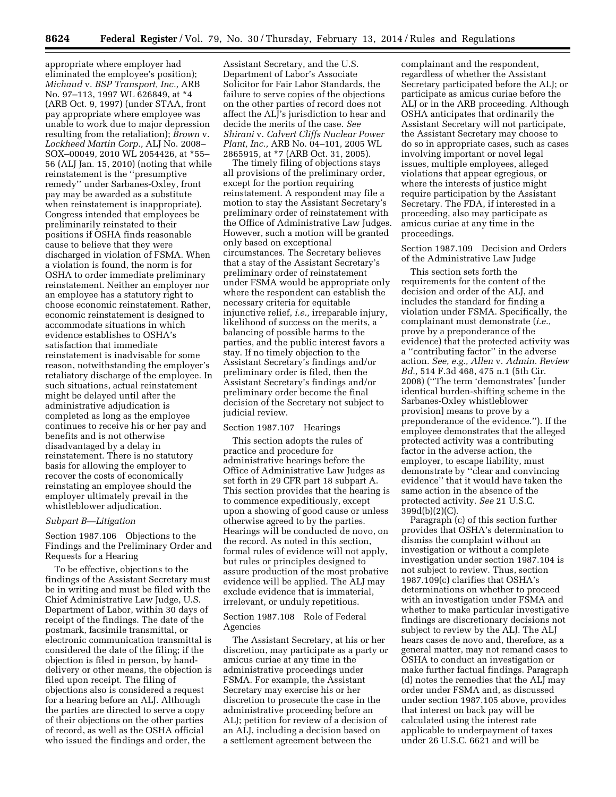appropriate where employer had eliminated the employee's position); *Michaud* v. *BSP Transport, Inc.,* ARB No. 97–113, 1997 WL 626849, at \*4 (ARB Oct. 9, 1997) (under STAA, front pay appropriate where employee was unable to work due to major depression resulting from the retaliation); *Brown* v. *Lockheed Martin Corp.,* ALJ No. 2008– SOX–00049, 2010 WL 2054426, at \*55– 56 (ALJ Jan. 15, 2010) (noting that while reinstatement is the ''presumptive remedy'' under Sarbanes-Oxley, front pay may be awarded as a substitute when reinstatement is inappropriate). Congress intended that employees be preliminarily reinstated to their positions if OSHA finds reasonable cause to believe that they were discharged in violation of FSMA. When a violation is found, the norm is for OSHA to order immediate preliminary reinstatement. Neither an employer nor an employee has a statutory right to choose economic reinstatement. Rather, economic reinstatement is designed to accommodate situations in which evidence establishes to OSHA's satisfaction that immediate reinstatement is inadvisable for some reason, notwithstanding the employer's retaliatory discharge of the employee. In such situations, actual reinstatement might be delayed until after the administrative adjudication is completed as long as the employee continues to receive his or her pay and benefits and is not otherwise disadvantaged by a delay in reinstatement. There is no statutory basis for allowing the employer to recover the costs of economically reinstating an employee should the employer ultimately prevail in the whistleblower adjudication.

#### *Subpart B—Litigation*

Section 1987.106 Objections to the Findings and the Preliminary Order and Requests for a Hearing

To be effective, objections to the findings of the Assistant Secretary must be in writing and must be filed with the Chief Administrative Law Judge, U.S. Department of Labor, within 30 days of receipt of the findings. The date of the postmark, facsimile transmittal, or electronic communication transmittal is considered the date of the filing; if the objection is filed in person, by handdelivery or other means, the objection is filed upon receipt. The filing of objections also is considered a request for a hearing before an ALJ. Although the parties are directed to serve a copy of their objections on the other parties of record, as well as the OSHA official who issued the findings and order, the

Assistant Secretary, and the U.S. Department of Labor's Associate Solicitor for Fair Labor Standards, the failure to serve copies of the objections on the other parties of record does not affect the ALJ's jurisdiction to hear and decide the merits of the case. *See Shirani* v. *Calvert Cliffs Nuclear Power Plant, Inc.,* ARB No. 04–101, 2005 WL 2865915, at \*7 (ARB Oct. 31, 2005).

The timely filing of objections stays all provisions of the preliminary order, except for the portion requiring reinstatement. A respondent may file a motion to stay the Assistant Secretary's preliminary order of reinstatement with the Office of Administrative Law Judges. However, such a motion will be granted only based on exceptional circumstances. The Secretary believes that a stay of the Assistant Secretary's preliminary order of reinstatement under FSMA would be appropriate only where the respondent can establish the necessary criteria for equitable injunctive relief, *i.e.,* irreparable injury, likelihood of success on the merits, a balancing of possible harms to the parties, and the public interest favors a stay. If no timely objection to the Assistant Secretary's findings and/or preliminary order is filed, then the Assistant Secretary's findings and/or preliminary order become the final decision of the Secretary not subject to judicial review.

### Section 1987.107 Hearings

This section adopts the rules of practice and procedure for administrative hearings before the Office of Administrative Law Judges as set forth in 29 CFR part 18 subpart A. This section provides that the hearing is to commence expeditiously, except upon a showing of good cause or unless otherwise agreed to by the parties. Hearings will be conducted de novo, on the record. As noted in this section, formal rules of evidence will not apply, but rules or principles designed to assure production of the most probative evidence will be applied. The ALJ may exclude evidence that is immaterial, irrelevant, or unduly repetitious.

Section 1987.108 Role of Federal Agencies

The Assistant Secretary, at his or her discretion, may participate as a party or amicus curiae at any time in the administrative proceedings under FSMA. For example, the Assistant Secretary may exercise his or her discretion to prosecute the case in the administrative proceeding before an ALJ; petition for review of a decision of an ALJ, including a decision based on a settlement agreement between the

complainant and the respondent, regardless of whether the Assistant Secretary participated before the ALJ; or participate as amicus curiae before the ALJ or in the ARB proceeding. Although OSHA anticipates that ordinarily the Assistant Secretary will not participate, the Assistant Secretary may choose to do so in appropriate cases, such as cases involving important or novel legal issues, multiple employees, alleged violations that appear egregious, or where the interests of justice might require participation by the Assistant Secretary. The FDA, if interested in a proceeding, also may participate as amicus curiae at any time in the proceedings.

Section 1987.109 Decision and Orders of the Administrative Law Judge

This section sets forth the requirements for the content of the decision and order of the ALJ, and includes the standard for finding a violation under FSMA. Specifically, the complainant must demonstrate (*i.e.,*  prove by a preponderance of the evidence) that the protected activity was a ''contributing factor'' in the adverse action. *See, e.g., Allen* v. *Admin. Review Bd.,* 514 F.3d 468, 475 n.1 (5th Cir. 2008) (''The term 'demonstrates' [under identical burden-shifting scheme in the Sarbanes-Oxley whistleblower provision] means to prove by a preponderance of the evidence.''). If the employee demonstrates that the alleged protected activity was a contributing factor in the adverse action, the employer, to escape liability, must demonstrate by ''clear and convincing evidence'' that it would have taken the same action in the absence of the protected activity. *See* 21 U.S.C. 399d(b)(2)(C).

Paragraph (c) of this section further provides that OSHA's determination to dismiss the complaint without an investigation or without a complete investigation under section 1987.104 is not subject to review. Thus, section 1987.109(c) clarifies that OSHA's determinations on whether to proceed with an investigation under FSMA and whether to make particular investigative findings are discretionary decisions not subject to review by the ALJ. The ALJ hears cases de novo and, therefore, as a general matter, may not remand cases to OSHA to conduct an investigation or make further factual findings. Paragraph (d) notes the remedies that the ALJ may order under FSMA and, as discussed under section 1987.105 above, provides that interest on back pay will be calculated using the interest rate applicable to underpayment of taxes under 26 U.S.C. 6621 and will be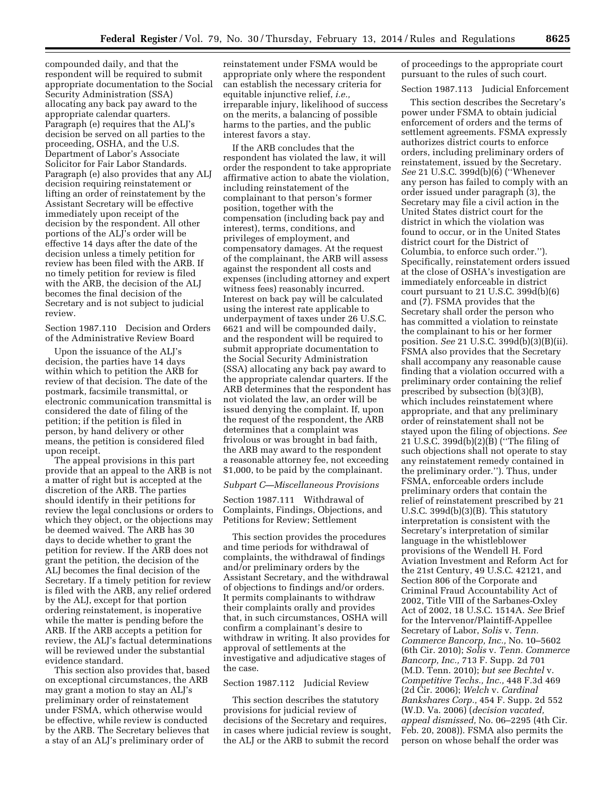compounded daily, and that the respondent will be required to submit appropriate documentation to the Social Security Administration (SSA) allocating any back pay award to the appropriate calendar quarters. Paragraph (e) requires that the ALJ's decision be served on all parties to the proceeding, OSHA, and the U.S. Department of Labor's Associate Solicitor for Fair Labor Standards. Paragraph (e) also provides that any ALJ decision requiring reinstatement or lifting an order of reinstatement by the Assistant Secretary will be effective immediately upon receipt of the decision by the respondent. All other portions of the ALJ's order will be effective 14 days after the date of the decision unless a timely petition for review has been filed with the ARB. If no timely petition for review is filed with the ARB, the decision of the ALJ becomes the final decision of the Secretary and is not subject to judicial review.

Section 1987.110 Decision and Orders of the Administrative Review Board

Upon the issuance of the ALJ's decision, the parties have 14 days within which to petition the ARB for review of that decision. The date of the postmark, facsimile transmittal, or electronic communication transmittal is considered the date of filing of the petition; if the petition is filed in person, by hand delivery or other means, the petition is considered filed upon receipt.

The appeal provisions in this part provide that an appeal to the ARB is not a matter of right but is accepted at the discretion of the ARB. The parties should identify in their petitions for review the legal conclusions or orders to which they object, or the objections may be deemed waived. The ARB has 30 days to decide whether to grant the petition for review. If the ARB does not grant the petition, the decision of the ALJ becomes the final decision of the Secretary. If a timely petition for review is filed with the ARB, any relief ordered by the ALJ, except for that portion ordering reinstatement, is inoperative while the matter is pending before the ARB. If the ARB accepts a petition for review, the ALJ's factual determinations will be reviewed under the substantial evidence standard.

This section also provides that, based on exceptional circumstances, the ARB may grant a motion to stay an ALJ's preliminary order of reinstatement under FSMA, which otherwise would be effective, while review is conducted by the ARB. The Secretary believes that a stay of an ALJ's preliminary order of

reinstatement under FSMA would be appropriate only where the respondent can establish the necessary criteria for equitable injunctive relief, *i.e.,*  irreparable injury, likelihood of success on the merits, a balancing of possible harms to the parties, and the public interest favors a stay.

If the ARB concludes that the respondent has violated the law, it will order the respondent to take appropriate affirmative action to abate the violation, including reinstatement of the complainant to that person's former position, together with the compensation (including back pay and interest), terms, conditions, and privileges of employment, and compensatory damages. At the request of the complainant, the ARB will assess against the respondent all costs and expenses (including attorney and expert witness fees) reasonably incurred. Interest on back pay will be calculated using the interest rate applicable to underpayment of taxes under 26 U.S.C. 6621 and will be compounded daily, and the respondent will be required to submit appropriate documentation to the Social Security Administration (SSA) allocating any back pay award to the appropriate calendar quarters. If the ARB determines that the respondent has not violated the law, an order will be issued denying the complaint. If, upon the request of the respondent, the ARB determines that a complaint was frivolous or was brought in bad faith, the ARB may award to the respondent a reasonable attorney fee, not exceeding \$1,000, to be paid by the complainant.

### *Subpart C—Miscellaneous Provisions*

Section 1987.111 Withdrawal of Complaints, Findings, Objections, and Petitions for Review; Settlement

This section provides the procedures and time periods for withdrawal of complaints, the withdrawal of findings and/or preliminary orders by the Assistant Secretary, and the withdrawal of objections to findings and/or orders. It permits complainants to withdraw their complaints orally and provides that, in such circumstances, OSHA will confirm a complainant's desire to withdraw in writing. It also provides for approval of settlements at the investigative and adjudicative stages of the case.

### Section 1987.112 Judicial Review

This section describes the statutory provisions for judicial review of decisions of the Secretary and requires, in cases where judicial review is sought, the ALJ or the ARB to submit the record

of proceedings to the appropriate court pursuant to the rules of such court.

### Section 1987.113 Judicial Enforcement

This section describes the Secretary's power under FSMA to obtain judicial enforcement of orders and the terms of settlement agreements. FSMA expressly authorizes district courts to enforce orders, including preliminary orders of reinstatement, issued by the Secretary. *See* 21 U.S.C. 399d(b)(6) (''Whenever any person has failed to comply with an order issued under paragraph (3), the Secretary may file a civil action in the United States district court for the district in which the violation was found to occur, or in the United States district court for the District of Columbia, to enforce such order.''). Specifically, reinstatement orders issued at the close of OSHA's investigation are immediately enforceable in district court pursuant to  $21$  U.S.C. 399 $d(b)(6)$ and (7). FSMA provides that the Secretary shall order the person who has committed a violation to reinstate the complainant to his or her former position. *See* 21 U.S.C. 399d(b)(3)(B)(ii). FSMA also provides that the Secretary shall accompany any reasonable cause finding that a violation occurred with a preliminary order containing the relief prescribed by subsection (b)(3)(B), which includes reinstatement where appropriate, and that any preliminary order of reinstatement shall not be stayed upon the filing of objections. *See*  21 U.S.C. 399d(b)(2)(B) (''The filing of such objections shall not operate to stay any reinstatement remedy contained in the preliminary order.''). Thus, under FSMA, enforceable orders include preliminary orders that contain the relief of reinstatement prescribed by 21 U.S.C. 399d(b)(3)(B). This statutory interpretation is consistent with the Secretary's interpretation of similar language in the whistleblower provisions of the Wendell H. Ford Aviation Investment and Reform Act for the 21st Century, 49 U.S.C. 42121, and Section 806 of the Corporate and Criminal Fraud Accountability Act of 2002, Title VIII of the Sarbanes-Oxley Act of 2002, 18 U.S.C. 1514A. *See* Brief for the Intervenor/Plaintiff-Appellee Secretary of Labor, *Solis* v. *Tenn. Commerce Bancorp, Inc.,* No. 10–5602 (6th Cir. 2010); *Solis* v. *Tenn. Commerce Bancorp, Inc.,* 713 F. Supp. 2d 701 (M.D. Tenn. 2010); *but see Bechtel* v. *Competitive Techs., Inc.,* 448 F.3d 469 (2d Cir. 2006); *Welch* v. *Cardinal Bankshares Corp.,* 454 F. Supp. 2d 552 (W.D. Va. 2006) (*decision vacated, appeal dismissed,* No. 06–2295 (4th Cir. Feb. 20, 2008)). FSMA also permits the person on whose behalf the order was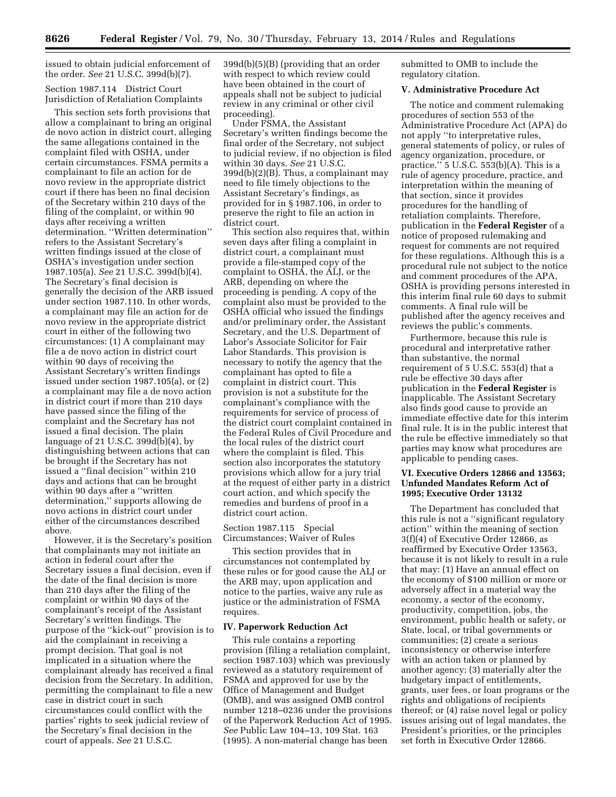issued to obtain judicial enforcement of the order. *See* 21 U.S.C. 399d(b)(7).

## Section 1987.114 District Court Jurisdiction of Retaliation Complaints

This section sets forth provisions that allow a complainant to bring an original de novo action in district court, alleging the same allegations contained in the complaint filed with OSHA, under certain circumstances. FSMA permits a complainant to file an action for de novo review in the appropriate district court if there has been no final decision of the Secretary within 210 days of the filing of the complaint, or within 90 days after receiving a written determination. ''Written determination'' refers to the Assistant Secretary's written findings issued at the close of OSHA's investigation under section 1987.105(a). *See* 21 U.S.C. 399d(b)(4). The Secretary's final decision is generally the decision of the ARB issued under section 1987.110. In other words, a complainant may file an action for de novo review in the appropriate district court in either of the following two circumstances: (1) A complainant may file a de novo action in district court within 90 days of receiving the Assistant Secretary's written findings issued under section 1987.105(a), or (2) a complainant may file a de novo action in district court if more than 210 days have passed since the filing of the complaint and the Secretary has not issued a final decision. The plain language of 21 U.S.C.  $399d(b)(4)$ , by distinguishing between actions that can be brought if the Secretary has not issued a ''final decision'' within 210 days and actions that can be brought within 90 days after a ''written determination,'' supports allowing de novo actions in district court under either of the circumstances described above.

However, it is the Secretary's position that complainants may not initiate an action in federal court after the Secretary issues a final decision, even if the date of the final decision is more than 210 days after the filing of the complaint or within 90 days of the complainant's receipt of the Assistant Secretary's written findings. The purpose of the ''kick-out'' provision is to aid the complainant in receiving a prompt decision. That goal is not implicated in a situation where the complainant already has received a final decision from the Secretary. In addition, permitting the complainant to file a new case in district court in such circumstances could conflict with the parties' rights to seek judicial review of the Secretary's final decision in the court of appeals. *See* 21 U.S.C.

399d(b)(5)(B) (providing that an order with respect to which review could have been obtained in the court of appeals shall not be subject to judicial review in any criminal or other civil proceeding).

Under FSMA, the Assistant Secretary's written findings become the final order of the Secretary, not subject to judicial review, if no objection is filed within 30 days. *See* 21 U.S.C.  $399d(b)(2)(B)$ . Thus, a complainant may need to file timely objections to the Assistant Secretary's findings, as provided for in § 1987.106, in order to preserve the right to file an action in district court.

This section also requires that, within seven days after filing a complaint in district court, a complainant must provide a file-stamped copy of the complaint to OSHA, the ALJ, or the ARB, depending on where the proceeding is pending. A copy of the complaint also must be provided to the OSHA official who issued the findings and/or preliminary order, the Assistant Secretary, and the U.S. Department of Labor's Associate Solicitor for Fair Labor Standards. This provision is necessary to notify the agency that the complainant has opted to file a complaint in district court. This provision is not a substitute for the complainant's compliance with the requirements for service of process of the district court complaint contained in the Federal Rules of Civil Procedure and the local rules of the district court where the complaint is filed. This section also incorporates the statutory provisions which allow for a jury trial at the request of either party in a district court action, and which specify the remedies and burdens of proof in a district court action.

Section 1987.115 Special Circumstances; Waiver of Rules

This section provides that in circumstances not contemplated by these rules or for good cause the ALJ or the ARB may, upon application and notice to the parties, waive any rule as justice or the administration of FSMA requires.

### **IV. Paperwork Reduction Act**

This rule contains a reporting provision (filing a retaliation complaint, section 1987.103) which was previously reviewed as a statutory requirement of FSMA and approved for use by the Office of Management and Budget (OMB), and was assigned OMB control number 1218–0236 under the provisions of the Paperwork Reduction Act of 1995. *See* Public Law 104–13, 109 Stat. 163 (1995). A non-material change has been

submitted to OMB to include the regulatory citation.

## **V. Administrative Procedure Act**

The notice and comment rulemaking procedures of section 553 of the Administrative Procedure Act (APA) do not apply ''to interpretative rules, general statements of policy, or rules of agency organization, procedure, or practice.'' 5 U.S.C. 553(b)(A). This is a rule of agency procedure, practice, and interpretation within the meaning of that section, since it provides procedures for the handling of retaliation complaints. Therefore, publication in the **Federal Register** of a notice of proposed rulemaking and request for comments are not required for these regulations. Although this is a procedural rule not subject to the notice and comment procedures of the APA, OSHA is providing persons interested in this interim final rule 60 days to submit comments. A final rule will be published after the agency receives and reviews the public's comments.

Furthermore, because this rule is procedural and interpretative rather than substantive, the normal requirement of 5 U.S.C. 553(d) that a rule be effective 30 days after publication in the **Federal Register** is inapplicable. The Assistant Secretary also finds good cause to provide an immediate effective date for this interim final rule. It is in the public interest that the rule be effective immediately so that parties may know what procedures are applicable to pending cases.

## **VI. Executive Orders 12866 and 13563; Unfunded Mandates Reform Act of 1995; Executive Order 13132**

The Department has concluded that this rule is not a ''significant regulatory action'' within the meaning of section 3(f)(4) of Executive Order 12866, as reaffirmed by Executive Order 13563, because it is not likely to result in a rule that may: (1) Have an annual effect on the economy of \$100 million or more or adversely affect in a material way the economy, a sector of the economy, productivity, competition, jobs, the environment, public health or safety, or State, local, or tribal governments or communities; (2) create a serious inconsistency or otherwise interfere with an action taken or planned by another agency; (3) materially alter the budgetary impact of entitlements, grants, user fees, or loan programs or the rights and obligations of recipients thereof; or (4) raise novel legal or policy issues arising out of legal mandates, the President's priorities, or the principles set forth in Executive Order 12866.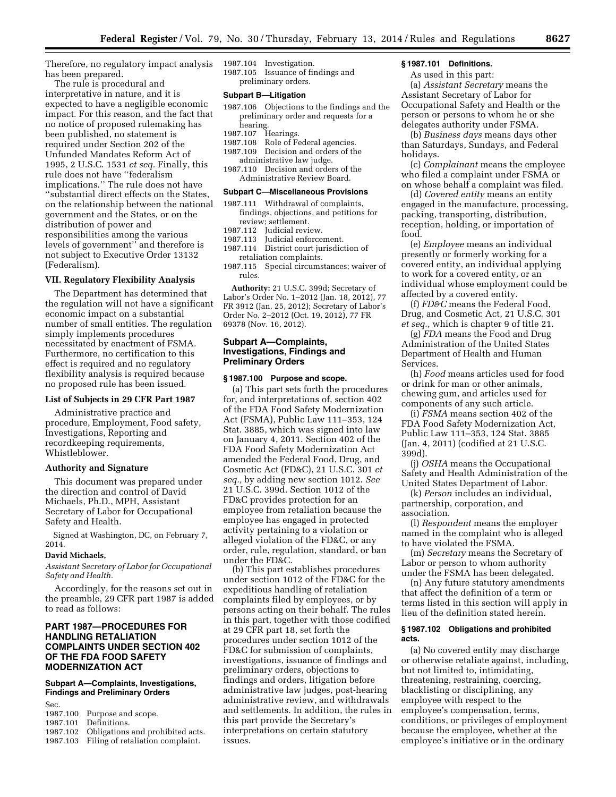Therefore, no regulatory impact analysis has been prepared.

The rule is procedural and interpretative in nature, and it is expected to have a negligible economic impact. For this reason, and the fact that no notice of proposed rulemaking has been published, no statement is required under Section 202 of the Unfunded Mandates Reform Act of 1995, 2 U.S.C. 1531 *et seq.* Finally, this rule does not have ''federalism implications.'' The rule does not have ''substantial direct effects on the States, on the relationship between the national government and the States, or on the distribution of power and responsibilities among the various levels of government'' and therefore is not subject to Executive Order 13132 (Federalism).

## **VII. Regulatory Flexibility Analysis**

The Department has determined that the regulation will not have a significant economic impact on a substantial number of small entities. The regulation simply implements procedures necessitated by enactment of FSMA. Furthermore, no certification to this effect is required and no regulatory flexibility analysis is required because no proposed rule has been issued.

## **List of Subjects in 29 CFR Part 1987**

Administrative practice and procedure, Employment, Food safety, Investigations, Reporting and recordkeeping requirements, Whistleblower.

#### **Authority and Signature**

This document was prepared under the direction and control of David Michaels, Ph.D., MPH, Assistant Secretary of Labor for Occupational Safety and Health.

Signed at Washington, DC, on February 7, 2014.

#### **David Michaels,**

*Assistant Secretary of Labor for Occupational Safety and Health.* 

Accordingly, for the reasons set out in the preamble, 29 CFR part 1987 is added to read as follows:

## **PART 1987—PROCEDURES FOR HANDLING RETALIATION COMPLAINTS UNDER SECTION 402 OF THE FDA FOOD SAFETY MODERNIZATION ACT**

## **Subpart A—Complaints, Investigations, Findings and Preliminary Orders**

- Sec.
- 1987.100 Purpose and scope.<br>1987.101 Definitions.
- Definitions. 1987.102 Obligations and prohibited acts.
- 1987.103 Filing of retaliation complaint.

1987.104 Investigation. 1987.105 Issuance of findings and preliminary orders.

#### **Subpart B—Litigation**

- 1987.106 Objections to the findings and the preliminary order and requests for a hearing.<br>1987.107 F
- 
- 1987.107 Hearings.<br>1987.108 Role of F 1987.108 Role of Federal agencies.<br>1987.109 Decision and orders of th Decision and orders of the
- administrative law judge.
- 1987.110 Decision and orders of the Administrative Review Board.

## **Subpart C—Miscellaneous Provisions**

- 1987.111 Withdrawal of complaints, findings, objections, and petitions for review; settlement.
- 1987.112 Judicial review.<br>1987.113 Judicial enforce
- Judicial enforcement.
- 1987.114 District court jurisdiction of retaliation complaints.
- 1987.115 Special circumstances; waiver of rules.

**Authority:** 21 U.S.C. 399d; Secretary of Labor's Order No. 1–2012 (Jan. 18, 2012), 77 FR 3912 (Jan. 25, 2012); Secretary of Labor's Order No. 2–2012 (Oct. 19, 2012), 77 FR 69378 (Nov. 16, 2012).

## **Subpart A—Complaints, Investigations, Findings and Preliminary Orders**

#### **§ 1987.100 Purpose and scope.**

(a) This part sets forth the procedures for, and interpretations of, section 402 of the FDA Food Safety Modernization Act (FSMA), Public Law 111–353, 124 Stat. 3885, which was signed into law on January 4, 2011. Section 402 of the FDA Food Safety Modernization Act amended the Federal Food, Drug, and Cosmetic Act (FD&C), 21 U.S.C. 301 *et seq.,* by adding new section 1012. *See*  21 U.S.C. 399d. Section 1012 of the FD&C provides protection for an employee from retaliation because the employee has engaged in protected activity pertaining to a violation or alleged violation of the FD&C, or any order, rule, regulation, standard, or ban under the FD&C.

(b) This part establishes procedures under section 1012 of the FD&C for the expeditious handling of retaliation complaints filed by employees, or by persons acting on their behalf. The rules in this part, together with those codified at 29 CFR part 18, set forth the procedures under section 1012 of the FD&C for submission of complaints, investigations, issuance of findings and preliminary orders, objections to findings and orders, litigation before administrative law judges, post-hearing administrative review, and withdrawals and settlements. In addition, the rules in this part provide the Secretary's interpretations on certain statutory issues.

# **§ 1987.101 Definitions.**

As used in this part: (a) *Assistant Secretary* means the

Assistant Secretary of Labor for Occupational Safety and Health or the person or persons to whom he or she delegates authority under FSMA.

(b) *Business days* means days other than Saturdays, Sundays, and Federal holidays.

(c) *Complainant* means the employee who filed a complaint under FSMA or on whose behalf a complaint was filed.

(d) *Covered entity* means an entity engaged in the manufacture, processing, packing, transporting, distribution, reception, holding, or importation of food.

(e) *Employee* means an individual presently or formerly working for a covered entity, an individual applying to work for a covered entity, or an individual whose employment could be affected by a covered entity.

(f) *FD&C* means the Federal Food, Drug, and Cosmetic Act, 21 U.S.C. 301 *et seq.,* which is chapter 9 of title 21.

(g) *FDA* means the Food and Drug Administration of the United States Department of Health and Human Services.

(h) *Food* means articles used for food or drink for man or other animals, chewing gum, and articles used for components of any such article.

(i) *FSMA* means section 402 of the FDA Food Safety Modernization Act, Public Law 111–353, 124 Stat. 3885 (Jan. 4, 2011) (codified at 21 U.S.C. 399d).

(j) *OSHA* means the Occupational Safety and Health Administration of the United States Department of Labor.

(k) *Person* includes an individual, partnership, corporation, and association.

(l) *Respondent* means the employer named in the complaint who is alleged to have violated the FSMA.

(m) *Secretary* means the Secretary of Labor or person to whom authority under the FSMA has been delegated.

(n) Any future statutory amendments that affect the definition of a term or terms listed in this section will apply in lieu of the definition stated herein.

### **§ 1987.102 Obligations and prohibited acts.**

(a) No covered entity may discharge or otherwise retaliate against, including, but not limited to, intimidating, threatening, restraining, coercing, blacklisting or disciplining, any employee with respect to the employee's compensation, terms, conditions, or privileges of employment because the employee, whether at the employee's initiative or in the ordinary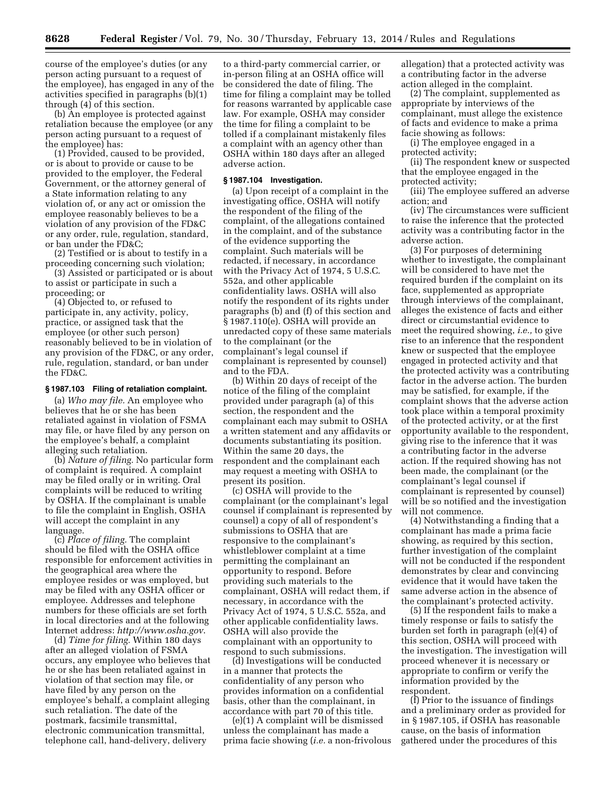course of the employee's duties (or any person acting pursuant to a request of the employee), has engaged in any of the activities specified in paragraphs (b)(1) through (4) of this section.

(b) An employee is protected against retaliation because the employee (or any person acting pursuant to a request of the employee) has:

(1) Provided, caused to be provided, or is about to provide or cause to be provided to the employer, the Federal Government, or the attorney general of a State information relating to any violation of, or any act or omission the employee reasonably believes to be a violation of any provision of the FD&C or any order, rule, regulation, standard, or ban under the FD&C;

(2) Testified or is about to testify in a proceeding concerning such violation;

(3) Assisted or participated or is about to assist or participate in such a proceeding; or

(4) Objected to, or refused to participate in, any activity, policy, practice, or assigned task that the employee (or other such person) reasonably believed to be in violation of any provision of the FD&C, or any order, rule, regulation, standard, or ban under the FD&C.

### **§ 1987.103 Filing of retaliation complaint.**

(a) *Who may file.* An employee who believes that he or she has been retaliated against in violation of FSMA may file, or have filed by any person on the employee's behalf, a complaint alleging such retaliation.

(b) *Nature of filing.* No particular form of complaint is required. A complaint may be filed orally or in writing. Oral complaints will be reduced to writing by OSHA. If the complainant is unable to file the complaint in English, OSHA will accept the complaint in any language.

(c) *Place of filing.* The complaint should be filed with the OSHA office responsible for enforcement activities in the geographical area where the employee resides or was employed, but may be filed with any OSHA officer or employee. Addresses and telephone numbers for these officials are set forth in local directories and at the following Internet address: *<http://www.osha.gov>*.

(d) *Time for filing.* Within 180 days after an alleged violation of FSMA occurs, any employee who believes that he or she has been retaliated against in violation of that section may file, or have filed by any person on the employee's behalf, a complaint alleging such retaliation. The date of the postmark, facsimile transmittal, electronic communication transmittal, telephone call, hand-delivery, delivery

to a third-party commercial carrier, or in-person filing at an OSHA office will be considered the date of filing. The time for filing a complaint may be tolled for reasons warranted by applicable case law. For example, OSHA may consider the time for filing a complaint to be tolled if a complainant mistakenly files a complaint with an agency other than OSHA within 180 days after an alleged adverse action.

#### **§ 1987.104 Investigation.**

(a) Upon receipt of a complaint in the investigating office, OSHA will notify the respondent of the filing of the complaint, of the allegations contained in the complaint, and of the substance of the evidence supporting the complaint. Such materials will be redacted, if necessary, in accordance with the Privacy Act of 1974, 5 U.S.C. 552a, and other applicable confidentiality laws. OSHA will also notify the respondent of its rights under paragraphs (b) and (f) of this section and § 1987.110(e). OSHA will provide an unredacted copy of these same materials to the complainant (or the complainant's legal counsel if complainant is represented by counsel) and to the FDA.

(b) Within 20 days of receipt of the notice of the filing of the complaint provided under paragraph (a) of this section, the respondent and the complainant each may submit to OSHA a written statement and any affidavits or documents substantiating its position. Within the same 20 days, the respondent and the complainant each may request a meeting with OSHA to present its position.

(c) OSHA will provide to the complainant (or the complainant's legal counsel if complainant is represented by counsel) a copy of all of respondent's submissions to OSHA that are responsive to the complainant's whistleblower complaint at a time permitting the complainant an opportunity to respond. Before providing such materials to the complainant, OSHA will redact them, if necessary, in accordance with the Privacy Act of 1974, 5 U.S.C. 552a, and other applicable confidentiality laws. OSHA will also provide the complainant with an opportunity to respond to such submissions.

(d) Investigations will be conducted in a manner that protects the confidentiality of any person who provides information on a confidential basis, other than the complainant, in accordance with part 70 of this title.

(e)(1) A complaint will be dismissed unless the complainant has made a prima facie showing (*i.e.* a non-frivolous allegation) that a protected activity was a contributing factor in the adverse action alleged in the complaint.

(2) The complaint, supplemented as appropriate by interviews of the complainant, must allege the existence of facts and evidence to make a prima facie showing as follows:

(i) The employee engaged in a protected activity;

(ii) The respondent knew or suspected that the employee engaged in the protected activity;

(iii) The employee suffered an adverse action; and

(iv) The circumstances were sufficient to raise the inference that the protected activity was a contributing factor in the adverse action.

(3) For purposes of determining whether to investigate, the complainant will be considered to have met the required burden if the complaint on its face, supplemented as appropriate through interviews of the complainant, alleges the existence of facts and either direct or circumstantial evidence to meet the required showing, *i.e.,* to give rise to an inference that the respondent knew or suspected that the employee engaged in protected activity and that the protected activity was a contributing factor in the adverse action. The burden may be satisfied, for example, if the complaint shows that the adverse action took place within a temporal proximity of the protected activity, or at the first opportunity available to the respondent, giving rise to the inference that it was a contributing factor in the adverse action. If the required showing has not been made, the complainant (or the complainant's legal counsel if complainant is represented by counsel) will be so notified and the investigation will not commence.

(4) Notwithstanding a finding that a complainant has made a prima facie showing, as required by this section, further investigation of the complaint will not be conducted if the respondent demonstrates by clear and convincing evidence that it would have taken the same adverse action in the absence of the complainant's protected activity.

(5) If the respondent fails to make a timely response or fails to satisfy the burden set forth in paragraph (e)(4) of this section, OSHA will proceed with the investigation. The investigation will proceed whenever it is necessary or appropriate to confirm or verify the information provided by the respondent.

(f) Prior to the issuance of findings and a preliminary order as provided for in § 1987.105, if OSHA has reasonable cause, on the basis of information gathered under the procedures of this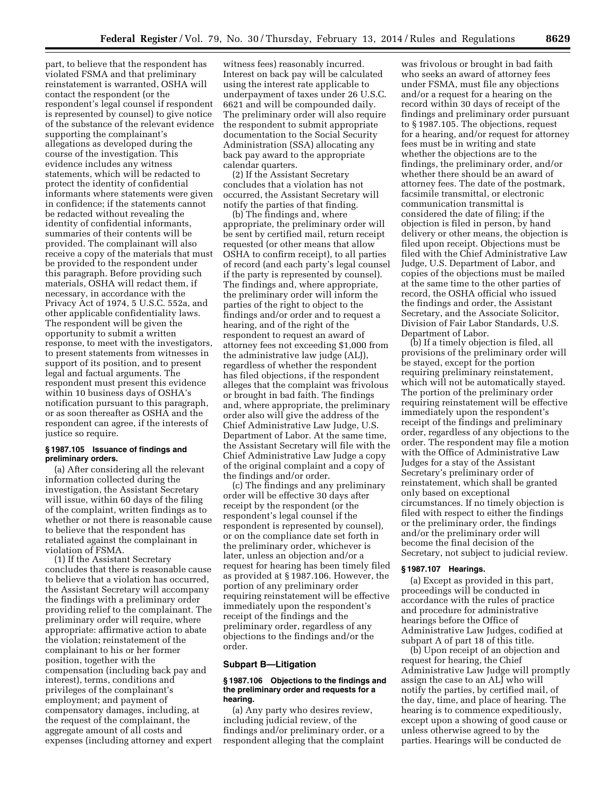part, to believe that the respondent has violated FSMA and that preliminary reinstatement is warranted, OSHA will contact the respondent (or the respondent's legal counsel if respondent is represented by counsel) to give notice of the substance of the relevant evidence supporting the complainant's allegations as developed during the course of the investigation. This evidence includes any witness statements, which will be redacted to protect the identity of confidential informants where statements were given in confidence; if the statements cannot be redacted without revealing the identity of confidential informants, summaries of their contents will be provided. The complainant will also receive a copy of the materials that must be provided to the respondent under this paragraph. Before providing such materials, OSHA will redact them, if necessary, in accordance with the Privacy Act of 1974, 5 U.S.C. 552a, and other applicable confidentiality laws. The respondent will be given the opportunity to submit a written response, to meet with the investigators, to present statements from witnesses in support of its position, and to present legal and factual arguments. The respondent must present this evidence within 10 business days of OSHA's notification pursuant to this paragraph, or as soon thereafter as OSHA and the respondent can agree, if the interests of justice so require.

### **§ 1987.105 Issuance of findings and preliminary orders.**

(a) After considering all the relevant information collected during the investigation, the Assistant Secretary will issue, within 60 days of the filing of the complaint, written findings as to whether or not there is reasonable cause to believe that the respondent has retaliated against the complainant in violation of FSMA.

(1) If the Assistant Secretary concludes that there is reasonable cause to believe that a violation has occurred, the Assistant Secretary will accompany the findings with a preliminary order providing relief to the complainant. The preliminary order will require, where appropriate: affirmative action to abate the violation; reinstatement of the complainant to his or her former position, together with the compensation (including back pay and interest), terms, conditions and privileges of the complainant's employment; and payment of compensatory damages, including, at the request of the complainant, the aggregate amount of all costs and expenses (including attorney and expert

witness fees) reasonably incurred. Interest on back pay will be calculated using the interest rate applicable to underpayment of taxes under 26 U.S.C. 6621 and will be compounded daily. The preliminary order will also require the respondent to submit appropriate documentation to the Social Security Administration (SSA) allocating any back pay award to the appropriate calendar quarters.

(2) If the Assistant Secretary concludes that a violation has not occurred, the Assistant Secretary will notify the parties of that finding.

(b) The findings and, where appropriate, the preliminary order will be sent by certified mail, return receipt requested (or other means that allow OSHA to confirm receipt), to all parties of record (and each party's legal counsel if the party is represented by counsel). The findings and, where appropriate, the preliminary order will inform the parties of the right to object to the findings and/or order and to request a hearing, and of the right of the respondent to request an award of attorney fees not exceeding \$1,000 from the administrative law judge (ALJ), regardless of whether the respondent has filed objections, if the respondent alleges that the complaint was frivolous or brought in bad faith. The findings and, where appropriate, the preliminary order also will give the address of the Chief Administrative Law Judge, U.S. Department of Labor. At the same time, the Assistant Secretary will file with the Chief Administrative Law Judge a copy of the original complaint and a copy of the findings and/or order.

(c) The findings and any preliminary order will be effective 30 days after receipt by the respondent (or the respondent's legal counsel if the respondent is represented by counsel), or on the compliance date set forth in the preliminary order, whichever is later, unless an objection and/or a request for hearing has been timely filed as provided at § 1987.106. However, the portion of any preliminary order requiring reinstatement will be effective immediately upon the respondent's receipt of the findings and the preliminary order, regardless of any objections to the findings and/or the order.

### **Subpart B—Litigation**

#### **§ 1987.106 Objections to the findings and the preliminary order and requests for a hearing.**

(a) Any party who desires review, including judicial review, of the findings and/or preliminary order, or a respondent alleging that the complaint

was frivolous or brought in bad faith who seeks an award of attorney fees under FSMA, must file any objections and/or a request for a hearing on the record within 30 days of receipt of the findings and preliminary order pursuant to § 1987.105. The objections, request for a hearing, and/or request for attorney fees must be in writing and state whether the objections are to the findings, the preliminary order, and/or whether there should be an award of attorney fees. The date of the postmark, facsimile transmittal, or electronic communication transmittal is considered the date of filing; if the objection is filed in person, by hand delivery or other means, the objection is filed upon receipt. Objections must be filed with the Chief Administrative Law Judge, U.S. Department of Labor, and copies of the objections must be mailed at the same time to the other parties of record, the OSHA official who issued the findings and order, the Assistant Secretary, and the Associate Solicitor, Division of Fair Labor Standards, U.S. Department of Labor.

(b) If a timely objection is filed, all provisions of the preliminary order will be stayed, except for the portion requiring preliminary reinstatement, which will not be automatically stayed. The portion of the preliminary order requiring reinstatement will be effective immediately upon the respondent's receipt of the findings and preliminary order, regardless of any objections to the order. The respondent may file a motion with the Office of Administrative Law Judges for a stay of the Assistant Secretary's preliminary order of reinstatement, which shall be granted only based on exceptional circumstances. If no timely objection is filed with respect to either the findings or the preliminary order, the findings and/or the preliminary order will become the final decision of the Secretary, not subject to judicial review.

## **§ 1987.107 Hearings.**

(a) Except as provided in this part, proceedings will be conducted in accordance with the rules of practice and procedure for administrative hearings before the Office of Administrative Law Judges, codified at subpart A of part 18 of this title.

(b) Upon receipt of an objection and request for hearing, the Chief Administrative Law Judge will promptly assign the case to an ALJ who will notify the parties, by certified mail, of the day, time, and place of hearing. The hearing is to commence expeditiously, except upon a showing of good cause or unless otherwise agreed to by the parties. Hearings will be conducted de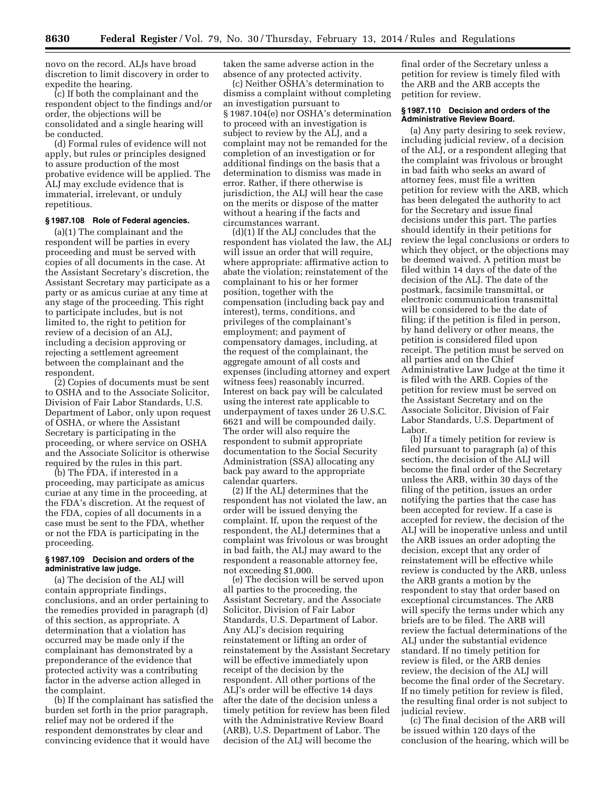novo on the record. ALJs have broad discretion to limit discovery in order to expedite the hearing.

(c) If both the complainant and the respondent object to the findings and/or order, the objections will be consolidated and a single hearing will be conducted.

(d) Formal rules of evidence will not apply, but rules or principles designed to assure production of the most probative evidence will be applied. The ALJ may exclude evidence that is immaterial, irrelevant, or unduly repetitious.

## **§ 1987.108 Role of Federal agencies.**

(a)(1) The complainant and the respondent will be parties in every proceeding and must be served with copies of all documents in the case. At the Assistant Secretary's discretion, the Assistant Secretary may participate as a party or as amicus curiae at any time at any stage of the proceeding. This right to participate includes, but is not limited to, the right to petition for review of a decision of an ALJ, including a decision approving or rejecting a settlement agreement between the complainant and the respondent.

(2) Copies of documents must be sent to OSHA and to the Associate Solicitor, Division of Fair Labor Standards, U.S. Department of Labor, only upon request of OSHA, or where the Assistant Secretary is participating in the proceeding, or where service on OSHA and the Associate Solicitor is otherwise required by the rules in this part.

(b) The FDA, if interested in a proceeding, may participate as amicus curiae at any time in the proceeding, at the FDA's discretion. At the request of the FDA, copies of all documents in a case must be sent to the FDA, whether or not the FDA is participating in the proceeding.

## **§ 1987.109 Decision and orders of the administrative law judge.**

(a) The decision of the ALJ will contain appropriate findings, conclusions, and an order pertaining to the remedies provided in paragraph (d) of this section, as appropriate. A determination that a violation has occurred may be made only if the complainant has demonstrated by a preponderance of the evidence that protected activity was a contributing factor in the adverse action alleged in the complaint.

(b) If the complainant has satisfied the burden set forth in the prior paragraph, relief may not be ordered if the respondent demonstrates by clear and convincing evidence that it would have

taken the same adverse action in the absence of any protected activity.

(c) Neither OSHA's determination to dismiss a complaint without completing an investigation pursuant to § 1987.104(e) nor OSHA's determination to proceed with an investigation is subject to review by the ALJ, and a complaint may not be remanded for the completion of an investigation or for additional findings on the basis that a determination to dismiss was made in error. Rather, if there otherwise is jurisdiction, the ALJ will hear the case on the merits or dispose of the matter without a hearing if the facts and circumstances warrant.

(d)(1) If the ALJ concludes that the respondent has violated the law, the ALJ will issue an order that will require, where appropriate: affirmative action to abate the violation; reinstatement of the complainant to his or her former position, together with the compensation (including back pay and interest), terms, conditions, and privileges of the complainant's employment; and payment of compensatory damages, including, at the request of the complainant, the aggregate amount of all costs and expenses (including attorney and expert witness fees) reasonably incurred. Interest on back pay will be calculated using the interest rate applicable to underpayment of taxes under 26 U.S.C. 6621 and will be compounded daily. The order will also require the respondent to submit appropriate documentation to the Social Security Administration (SSA) allocating any back pay award to the appropriate calendar quarters.

(2) If the ALJ determines that the respondent has not violated the law, an order will be issued denying the complaint. If, upon the request of the respondent, the ALJ determines that a complaint was frivolous or was brought in bad faith, the ALJ may award to the respondent a reasonable attorney fee, not exceeding \$1,000.

(e) The decision will be served upon all parties to the proceeding, the Assistant Secretary, and the Associate Solicitor, Division of Fair Labor Standards, U.S. Department of Labor. Any ALJ's decision requiring reinstatement or lifting an order of reinstatement by the Assistant Secretary will be effective immediately upon receipt of the decision by the respondent. All other portions of the ALJ's order will be effective 14 days after the date of the decision unless a timely petition for review has been filed with the Administrative Review Board (ARB), U.S. Department of Labor. The decision of the ALJ will become the

final order of the Secretary unless a petition for review is timely filed with the ARB and the ARB accepts the petition for review.

## **§ 1987.110 Decision and orders of the Administrative Review Board.**

(a) Any party desiring to seek review, including judicial review, of a decision of the ALJ, or a respondent alleging that the complaint was frivolous or brought in bad faith who seeks an award of attorney fees, must file a written petition for review with the ARB, which has been delegated the authority to act for the Secretary and issue final decisions under this part. The parties should identify in their petitions for review the legal conclusions or orders to which they object, or the objections may be deemed waived. A petition must be filed within 14 days of the date of the decision of the ALJ. The date of the postmark, facsimile transmittal, or electronic communication transmittal will be considered to be the date of filing; if the petition is filed in person, by hand delivery or other means, the petition is considered filed upon receipt. The petition must be served on all parties and on the Chief Administrative Law Judge at the time it is filed with the ARB. Copies of the petition for review must be served on the Assistant Secretary and on the Associate Solicitor, Division of Fair Labor Standards, U.S. Department of Labor.

(b) If a timely petition for review is filed pursuant to paragraph (a) of this section, the decision of the ALJ will become the final order of the Secretary unless the ARB, within 30 days of the filing of the petition, issues an order notifying the parties that the case has been accepted for review. If a case is accepted for review, the decision of the ALJ will be inoperative unless and until the ARB issues an order adopting the decision, except that any order of reinstatement will be effective while review is conducted by the ARB, unless the ARB grants a motion by the respondent to stay that order based on exceptional circumstances. The ARB will specify the terms under which any briefs are to be filed. The ARB will review the factual determinations of the ALJ under the substantial evidence standard. If no timely petition for review is filed, or the ARB denies review, the decision of the ALJ will become the final order of the Secretary. If no timely petition for review is filed, the resulting final order is not subject to judicial review.

(c) The final decision of the ARB will be issued within 120 days of the conclusion of the hearing, which will be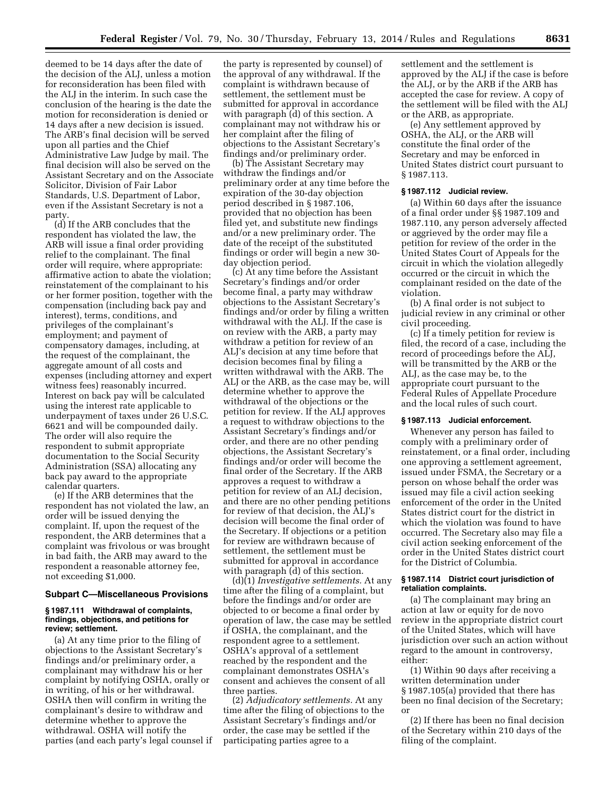deemed to be 14 days after the date of the decision of the ALJ, unless a motion for reconsideration has been filed with the ALJ in the interim. In such case the conclusion of the hearing is the date the motion for reconsideration is denied or 14 days after a new decision is issued. The ARB's final decision will be served upon all parties and the Chief Administrative Law Judge by mail. The final decision will also be served on the Assistant Secretary and on the Associate Solicitor, Division of Fair Labor Standards, U.S. Department of Labor, even if the Assistant Secretary is not a party.

(d) If the ARB concludes that the respondent has violated the law, the ARB will issue a final order providing relief to the complainant. The final order will require, where appropriate: affirmative action to abate the violation; reinstatement of the complainant to his or her former position, together with the compensation (including back pay and interest), terms, conditions, and privileges of the complainant's employment; and payment of compensatory damages, including, at the request of the complainant, the aggregate amount of all costs and expenses (including attorney and expert witness fees) reasonably incurred. Interest on back pay will be calculated using the interest rate applicable to underpayment of taxes under 26 U.S.C. 6621 and will be compounded daily. The order will also require the respondent to submit appropriate documentation to the Social Security Administration (SSA) allocating any back pay award to the appropriate calendar quarters.

(e) If the ARB determines that the respondent has not violated the law, an order will be issued denying the complaint. If, upon the request of the respondent, the ARB determines that a complaint was frivolous or was brought in bad faith, the ARB may award to the respondent a reasonable attorney fee, not exceeding \$1,000.

#### **Subpart C—Miscellaneous Provisions**

#### **§ 1987.111 Withdrawal of complaints, findings, objections, and petitions for review; settlement.**

(a) At any time prior to the filing of objections to the Assistant Secretary's findings and/or preliminary order, a complainant may withdraw his or her complaint by notifying OSHA, orally or in writing, of his or her withdrawal. OSHA then will confirm in writing the complainant's desire to withdraw and determine whether to approve the withdrawal. OSHA will notify the parties (and each party's legal counsel if

the party is represented by counsel) of the approval of any withdrawal. If the complaint is withdrawn because of settlement, the settlement must be submitted for approval in accordance with paragraph (d) of this section. A complainant may not withdraw his or her complaint after the filing of objections to the Assistant Secretary's findings and/or preliminary order.

(b) The Assistant Secretary may withdraw the findings and/or preliminary order at any time before the expiration of the 30-day objection period described in § 1987.106, provided that no objection has been filed yet, and substitute new findings and/or a new preliminary order. The date of the receipt of the substituted findings or order will begin a new 30 day objection period.

(c) At any time before the Assistant Secretary's findings and/or order become final, a party may withdraw objections to the Assistant Secretary's findings and/or order by filing a written withdrawal with the ALJ. If the case is on review with the ARB, a party may withdraw a petition for review of an ALJ's decision at any time before that decision becomes final by filing a written withdrawal with the ARB. The ALJ or the ARB, as the case may be, will determine whether to approve the withdrawal of the objections or the petition for review. If the ALJ approves a request to withdraw objections to the Assistant Secretary's findings and/or order, and there are no other pending objections, the Assistant Secretary's findings and/or order will become the final order of the Secretary. If the ARB approves a request to withdraw a petition for review of an ALJ decision, and there are no other pending petitions for review of that decision, the ALJ's decision will become the final order of the Secretary. If objections or a petition for review are withdrawn because of settlement, the settlement must be submitted for approval in accordance with paragraph (d) of this section.

(d)(1) *Investigative settlements.* At any time after the filing of a complaint, but before the findings and/or order are objected to or become a final order by operation of law, the case may be settled if OSHA, the complainant, and the respondent agree to a settlement. OSHA's approval of a settlement reached by the respondent and the complainant demonstrates OSHA's consent and achieves the consent of all three parties.

(2) *Adjudicatory settlements.* At any time after the filing of objections to the Assistant Secretary's findings and/or order, the case may be settled if the participating parties agree to a

settlement and the settlement is approved by the ALJ if the case is before the ALJ, or by the ARB if the ARB has accepted the case for review. A copy of the settlement will be filed with the ALJ or the ARB, as appropriate.

(e) Any settlement approved by OSHA, the ALJ, or the ARB will constitute the final order of the Secretary and may be enforced in United States district court pursuant to § 1987.113.

#### **§ 1987.112 Judicial review.**

(a) Within 60 days after the issuance of a final order under §§ 1987.109 and 1987.110, any person adversely affected or aggrieved by the order may file a petition for review of the order in the United States Court of Appeals for the circuit in which the violation allegedly occurred or the circuit in which the complainant resided on the date of the violation.

(b) A final order is not subject to judicial review in any criminal or other civil proceeding.

(c) If a timely petition for review is filed, the record of a case, including the record of proceedings before the ALJ, will be transmitted by the ARB or the ALJ, as the case may be, to the appropriate court pursuant to the Federal Rules of Appellate Procedure and the local rules of such court.

### **§ 1987.113 Judicial enforcement.**

Whenever any person has failed to comply with a preliminary order of reinstatement, or a final order, including one approving a settlement agreement, issued under FSMA, the Secretary or a person on whose behalf the order was issued may file a civil action seeking enforcement of the order in the United States district court for the district in which the violation was found to have occurred. The Secretary also may file a civil action seeking enforcement of the order in the United States district court for the District of Columbia.

### **§ 1987.114 District court jurisdiction of retaliation complaints.**

(a) The complainant may bring an action at law or equity for de novo review in the appropriate district court of the United States, which will have jurisdiction over such an action without regard to the amount in controversy, either:

(1) Within 90 days after receiving a written determination under § 1987.105(a) provided that there has been no final decision of the Secretary; or

(2) If there has been no final decision of the Secretary within 210 days of the filing of the complaint.